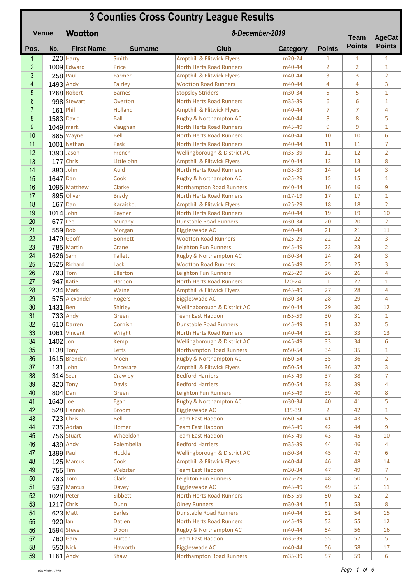# **3 Counties Cross Country League Results**

|  |                | <b>Venue</b> | <b>Wootton</b>             |                          |                                                             | <b>Team</b>      | <b>AgeCat</b>  |                |                   |
|--|----------------|--------------|----------------------------|--------------------------|-------------------------------------------------------------|------------------|----------------|----------------|-------------------|
|  | Pos.           | No.          | <b>First Name</b>          | <b>Surname</b>           | <b>Club</b>                                                 | <b>Category</b>  | <b>Points</b>  | <b>Points</b>  | <b>Points</b>     |
|  | 1              |              | $220$ Harry                | Smith                    | <b>Ampthill &amp; Flitwick Flyers</b>                       | m20-24           | 1              | 1              | $\mathbf{1}$      |
|  | $\overline{2}$ |              | $1009$ Edward              | Price                    | <b>North Herts Road Runners</b>                             | m40-44           | $\overline{2}$ | $\overline{2}$ | $\mathbf{1}$      |
|  | 3              | $258$ Paul   |                            | Farmer                   | <b>Ampthill &amp; Flitwick Flyers</b>                       | m40-44           | 3              | 3              | $\overline{2}$    |
|  | 4              | $1493$ Andy  |                            | Fairley                  | <b>Wootton Road Runners</b>                                 | m40-44           | 4              | $\overline{4}$ | 3<br>$\mathbf{1}$ |
|  | 5<br>6         |              | 1268 Robert<br>998 Stewart | <b>Barnes</b><br>Overton | <b>Stopsley Striders</b><br><b>North Herts Road Runners</b> | m30-34<br>m35-39 | 5<br>6         | 5<br>6         | $\mathbf{1}$      |
|  | $\overline{7}$ | $161$ Phil   |                            | Holland                  | <b>Ampthill &amp; Flitwick Flyers</b>                       | m40-44           | $\overline{7}$ | 7              | 4                 |
|  | 8              | 1583 David   |                            | <b>Ball</b>              | Rugby & Northampton AC                                      | m40-44           | 8              | 8              | 5                 |
|  | 9              | $1049$ mark  |                            | Vaughan                  | <b>North Herts Road Runners</b>                             | m45-49           | 9              | 9              | $\mathbf{1}$      |
|  | 10             |              | 885 Wayne                  | Bell                     | <b>North Herts Road Runners</b>                             | m40-44           | 10             | 10             | 6                 |
|  | 11             |              | 1001 Nathan                | Pask                     | <b>North Herts Road Runners</b>                             | m40-44           | 11             | 11             | 7                 |
|  | 12             | $1393$ Jason |                            | French                   | Wellingborough & District AC                                | m35-39           | 12             | 12             | $\overline{2}$    |
|  | 13             |              | $177$ Chris                | Littlejohn               | <b>Ampthill &amp; Flitwick Flyers</b>                       | m40-44           | 13             | 13             | 8                 |
|  | 14             |              | 880 John                   | Auld                     | <b>North Herts Road Runners</b>                             | m35-39           | 14             | 14             | 3                 |
|  | 15             | $1647$ Dan   |                            | Cook                     | Rugby & Northampton AC                                      | m25-29           | 15             | 15             | $\mathbf{1}$      |
|  | 16             |              | 1095 Matthew               | Clarke                   | <b>Northampton Road Runners</b>                             | m40-44           | 16             | 16             | 9                 |
|  | 17             |              | 895 Oliver                 | <b>Brady</b>             | <b>North Herts Road Runners</b>                             | m17-19           | 17             | 17             | $\mathbf{1}$      |
|  | 18             | $167$ Dan    |                            | Karaiskou                | <b>Ampthill &amp; Flitwick Flyers</b>                       | m25-29           | 18             | 18             | $\overline{2}$    |
|  | 19             | $1014$ John  |                            | Rayner                   | <b>North Herts Road Runners</b>                             | m40-44           | 19             | 19             | 10                |
|  | 20             | 677          | Lee                        | Murphy                   | <b>Dunstable Road Runners</b>                               | m30-34           | 20             | 20             | $\overline{2}$    |
|  | 21             | $559$ Rob    |                            | Morgan                   | <b>Biggleswade AC</b>                                       | m40-44           | 21             | 21             | 11                |
|  | 22             | $1479$ Geoff |                            | <b>Bonnett</b>           | <b>Wootton Road Runners</b>                                 | m25-29           | 22             | 22             | 3                 |
|  | 23             |              | 785 Martin                 | Crane                    | <b>Leighton Fun Runners</b>                                 | m45-49           | 23             | 23             | $\overline{2}$    |
|  | 24             | $1626$ Sam   |                            | <b>Tallett</b>           | Rugby & Northampton AC                                      | m30-34           | 24             | 24             | 3                 |
|  | 25             |              | 1525 Richard               | Lack                     | <b>Wootton Road Runners</b>                                 | m45-49           | 25             | 25             | $\overline{3}$    |
|  | 26             | $793$ Tom    |                            | Ellerton                 | <b>Leighton Fun Runners</b>                                 | m25-29           | 26             | 26             | 4                 |
|  | 27             |              | 947 Katie                  | Harbon                   | <b>North Herts Road Runners</b>                             | f20-24           | $\mathbf{1}$   | 27             | $\mathbf{1}$      |
|  | 28             |              | $234$ Mark                 | Waine                    | <b>Ampthill &amp; Flitwick Flyers</b>                       | m45-49           | 27             | 28             | 4                 |
|  | 29             |              | 575 Alexander              | Rogers                   | <b>Biggleswade AC</b>                                       | m30-34           | 28             | 29             | 4                 |
|  | 30             | $1431$ Ben   |                            | Shirley<br>Green         | Wellingborough & District AC<br><b>Team East Haddon</b>     | m40-44           | 29<br>30       | 30<br>31       | 12                |
|  | 31<br>32       |              | $733$ Andy<br>610 Darren   | Cornish                  | <b>Dunstable Road Runners</b>                               | m55-59<br>m45-49 | 31             | 32             | $\mathbf{1}$<br>5 |
|  | 33             |              | 1061 Vincent               | Wright                   | <b>North Herts Road Runners</b>                             | m40-44           | 32             | 33             | 13                |
|  | 34             | $1402$ Jon   |                            | Kemp                     | Wellingborough & District AC                                | m45-49           | 33             | 34             | 6                 |
|  | 35             | $1138$ Tony  |                            | Letts                    | <b>Northampton Road Runners</b>                             | m50-54           | 34             | 35             | $\mathbf{1}$      |
|  | 36             |              | $1615$ Brendan             | Moen                     | Rugby & Northampton AC                                      | m50-54           | 35             | 36             | $\overline{2}$    |
|  | 37             |              | $131$ John                 | <b>Decesare</b>          | <b>Ampthill &amp; Flitwick Flyers</b>                       | m50-54           | 36             | 37             | 3                 |
|  | 38             |              | $314$ Sean                 | Crawley                  | <b>Bedford Harriers</b>                                     | m45-49           | 37             | 38             | 7                 |
|  | 39             |              | $320$ Tony                 | <b>Davis</b>             | <b>Bedford Harriers</b>                                     | m50-54           | 38             | 39             | $\overline{4}$    |
|  | 40             | $804$ Dan    |                            | Green                    | <b>Leighton Fun Runners</b>                                 | m45-49           | 39             | 40             | 8                 |
|  | 41             | $1640$ Joe   |                            | Egan                     | Rugby & Northampton AC                                      | m30-34           | 40             | 41             | 5                 |
|  | 42             |              | $528$ Hannah               | <b>Broom</b>             | <b>Biggleswade AC</b>                                       | f35-39           | $\overline{2}$ | 42             | $\mathbf{1}$      |
|  | 43             |              | $723$ Chris                | <b>Bell</b>              | <b>Team East Haddon</b>                                     | m50-54           | 41             | 43             | 5                 |
|  | 44             |              | $735$ Adrian               | Homer                    | <b>Team East Haddon</b>                                     | m45-49           | 42             | 44             | 9                 |
|  | 45             |              | $756$ Stuart               | Wheeldon                 | <b>Team East Haddon</b>                                     | m45-49           | 43             | 45             | 10                |
|  | 46             |              | $439$ Andy                 | Palembella               | <b>Bedford Harriers</b>                                     | m35-39           | 44             | 46             | 4                 |
|  | 47             | $1399$ Paul  |                            | Huckle                   | Wellingborough & District AC                                | m30-34           | 45             | 47             | 6                 |
|  | 48             |              | 125 Marcus                 | Cook                     | <b>Ampthill &amp; Flitwick Flyers</b>                       | m40-44           | 46             | 48             | 14                |
|  | 49             | $755$ Tim    |                            | Webster                  | <b>Team East Haddon</b>                                     | m30-34           | 47             | 49             | 7                 |
|  | 50             | $783$ Tom    |                            | Clark                    | <b>Leighton Fun Runners</b>                                 | m25-29           | 48             | 50             | 5                 |
|  | 51             |              | 537 Marcus                 | <b>Davey</b>             | <b>Biggleswade AC</b>                                       | m45-49           | 49             | 51             | 11                |
|  | 52             | $1028$ Peter |                            | Sibbett                  | <b>North Herts Road Runners</b>                             | m55-59           | 50             | 52             | $\overline{2}$    |
|  | 53             | $1217$ Chris |                            | Dunn                     | <b>Olney Runners</b>                                        | m30-34           | 51             | 53             | 8                 |
|  | 54             |              | $623$ Matt                 | Earles                   | <b>Dunstable Road Runners</b>                               | m40-44           | 52             | 54             | 15                |
|  | 55             | $920$ lan    |                            | Datlen                   | North Herts Road Runners                                    | m45-49           | 53             | 55             | 12                |
|  | 56             | $1594$ Steve |                            | Dixon                    | Rugby & Northampton AC                                      | m40-44           | 54             | 56             | 16                |
|  | 57             |              | $760$ Gary                 | <b>Burton</b>            | <b>Team East Haddon</b>                                     | m35-39           | 55             | 57             | 5                 |
|  | 58             |              | $550$ Nick                 | Haworth                  | <b>Biggleswade AC</b>                                       | m40-44           | 56             | 58             | 17                |
|  | 59             | $1161$ Andy  |                            | Shaw                     | <b>Northampton Road Runners</b>                             | m35-39           | 57             | 59             | 6                 |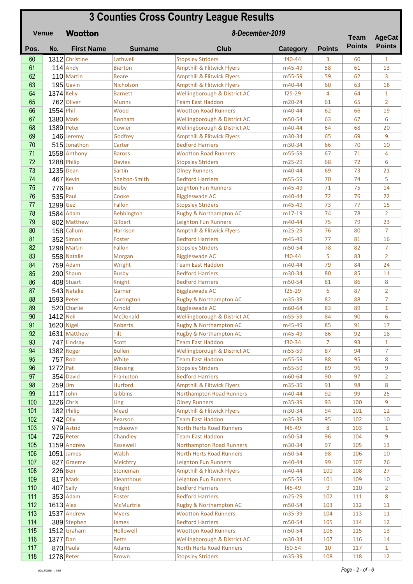# **3 Counties Cross Country League Results**

| <b>Venue</b> |                         | <b>Wootton</b>    |                         | 8-December-2019                                                      |                  |               | <b>Team</b>   | <b>AgeCat</b>  |
|--------------|-------------------------|-------------------|-------------------------|----------------------------------------------------------------------|------------------|---------------|---------------|----------------|
| Pos.         | No.                     | <b>First Name</b> | <b>Surname</b>          | <b>Club</b>                                                          | <b>Category</b>  | <b>Points</b> | <b>Points</b> | <b>Points</b>  |
| 60           |                         | 1312 Christine    | Lathwell                | <b>Stopsley Striders</b>                                             | f40-44           | 3             | 60            | $\mathbf{1}$   |
| 61           |                         | $114$ Andy        | <b>Bierton</b>          | <b>Ampthill &amp; Flitwick Flyers</b>                                | m45-49           | 58            | 61            | 13             |
| 62           |                         | $110$ Martin      | <b>Beare</b>            | <b>Ampthill &amp; Flitwick Flyers</b>                                | m55-59           | 59            | 62            | 3              |
| 63           |                         | $195$ Gavin       | Nicholson               | <b>Ampthill &amp; Flitwick Flyers</b>                                | m40-44           | 60            | 63            | 18             |
| 64           | $1374$ Kelly            |                   | <b>Barnett</b>          | Wellingborough & District AC                                         | $f25-29$         | 4             | 64            | $\mathbf{1}$   |
| 65           |                         | 762 Oliver        | <b>Munns</b>            | <b>Team East Haddon</b>                                              | m20-24           | 61            | 65            | $\overline{2}$ |
| 66           | 1554 Phil               |                   | Wood                    | <b>Wootton Road Runners</b>                                          | m40-44           | 62            | 66            | 19             |
| 67           | $1380$ Mark             |                   | <b>Bonham</b>           | Wellingborough & District AC                                         | m50-54           | 63            | 67            | 6              |
| 68           | $1389$ Peter            |                   | Cowler                  | Wellingborough & District AC                                         | m40-44           | 64            | 68            | 20             |
| 69           |                         | 146 Jeremy        | Godfrey                 | <b>Ampthill &amp; Flitwick Flyers</b>                                | m30-34           | 65            | 69            | 9              |
| 70           |                         | 515 Jonathon      | Carter                  | <b>Bedford Harriers</b>                                              | m30-34           | 66            | 70            | 10             |
| 71           |                         | 1558 Anthony      | <b>Baross</b>           | <b>Wootton Road Runners</b>                                          | m55-59           | 67            | 71            | 4              |
| 72           | 1288 Philip             |                   | <b>Davies</b>           | <b>Stopsley Striders</b>                                             | m25-29<br>m40-44 | 68            | 72<br>73      | 6              |
| 73           | $1235$ Dean             | 467 Kevin         | Sartin<br>Shelton-Smith | <b>Olney Runners</b><br><b>Bedford Harriers</b>                      |                  | 69<br>70      | 74            | 21             |
| 74           |                         |                   |                         |                                                                      | m55-59           | 71            | 75            | 5<br>14        |
| 75<br>76     | $776$ lan<br>$535$ Paul |                   | <b>Bisby</b><br>Cooke   | Leighton Fun Runners<br><b>Biggleswade AC</b>                        | m45-49<br>m40-44 | 72            | 76            | 22             |
| 77           | $1299$ Gez              |                   | Fallon                  | <b>Stopsley Striders</b>                                             | m45-49           | 73            | 77            | 15             |
| 78           |                         | $1584$ Adam       | Bebbington              | Rugby & Northampton AC                                               | m17-19           | 74            | 78            | $\overline{2}$ |
| 79           |                         | 802 Matthew       | Gilbert                 | <b>Leighton Fun Runners</b>                                          | m40-44           | 75            | 79            | 23             |
| 80           |                         | 158 Callum        | Harrison                | <b>Ampthill &amp; Flitwick Flyers</b>                                | m25-29           | 76            | 80            | $\overline{7}$ |
| 81           |                         | $352$ Simon       | Foster                  | <b>Bedford Harriers</b>                                              | m45-49           | 77            | 81            | 16             |
| 82           |                         | 1298 Martin       | Fallon                  | <b>Stopsley Striders</b>                                             | m50-54           | 78            | 82            | $\overline{7}$ |
| 83           |                         | 558 Natalie       | Morgan                  | <b>Biggleswade AC</b>                                                | f40-44           | 5             | 83            | $\overline{2}$ |
| 84           |                         | $759$ Adam        | Wright                  | <b>Team East Haddon</b>                                              | m40-44           | 79            | 84            | 24             |
| 85           |                         | $290$ Shaun       | <b>Busby</b>            | <b>Bedford Harriers</b>                                              | m30-34           | 80            | 85            | 11             |
| 86           |                         | 408 Stuart        | Knight                  | <b>Bedford Harriers</b>                                              | m50-54           | 81            | 86            | 8              |
| 87           |                         | 543 Natalie       | Garner                  | <b>Biggleswade AC</b>                                                | $f25-29$         | 6             | 87            | $\overline{2}$ |
| 88           | $1593$ Peter            |                   | Currington              | Rugby & Northampton AC                                               | m35-39           | 82            | 88            | 7              |
| 89           |                         | 520 Charlie       | Arnold                  | <b>Biggleswade AC</b>                                                | m60-64           | 83            | 89            | $\mathbf{1}$   |
| 90           | $1412$ Neil             |                   | <b>McDonald</b>         | Wellingborough & District AC                                         | m55-59           | 84            | 90            | 6              |
| 91           | 1620 Nigel              |                   | <b>Roberts</b>          | Rugby & Northampton AC                                               | m45-49           | 85            | 91            | 17             |
| 92           |                         | 1631 Matthew      | Tilt                    | Rugby & Northampton AC                                               | m45-49           | 86            | 92            | 18             |
| 93           |                         | 747 Lindsay       | Scott                   | <b>Team East Haddon</b>                                              | f30-34           | 7             | 93            | $\mathbf{1}$   |
| 94           |                         | $1382$ Roger      | <b>Bullen</b>           | Wellingborough & District AC                                         | m55-59           | 87            | 94            | $\overline{7}$ |
| 95           | $757$ Rob               |                   | White                   | <b>Team East Haddon</b>                                              | m55-59           | 88            | 95            | 8              |
| 96           | $1272$ Pat              |                   | <b>Blessing</b>         | <b>Stopsley Striders</b>                                             | m55-59           | 89            | 96            | 9              |
| 97           |                         | $354$ David       | Frampton                | <b>Bedford Harriers</b>                                              | m60-64           | 90            | 97            | $\overline{2}$ |
| 98           | $259$ Jim               |                   | <b>Hurford</b>          | <b>Ampthill &amp; Flitwick Flyers</b>                                | m35-39           | 91            | 98            | 8              |
| 99           | $1117$ John             |                   | Gibbins                 | <b>Northampton Road Runners</b>                                      | m40-44           | 92            | 99            | 25             |
| 100          | $1226$ Chris            |                   | Ling                    | <b>Olney Runners</b>                                                 | m35-39           | 93            | 100           | 9              |
| 101          |                         | 182 Philip        | Mead                    | <b>Ampthill &amp; Flitwick Flyers</b>                                | m30-34           | 94            | 101           | 12             |
| 102          | $742$ Olly              |                   | Pearson                 | <b>Team East Haddon</b>                                              | m35-39           | 95            | 102           | 10             |
| 103          |                         | 979 Astrid        | mckeown                 | <b>North Herts Road Runners</b>                                      | f45-49           | 8             | 103           | $\mathbf{1}$   |
| 104          |                         | $726$ Peter       | Chandley                | <b>Team East Haddon</b>                                              | m50-54           | 96            | 104           | 9              |
| 105          |                         | 1159 Andrew       | Rosewell                | <b>Northampton Road Runners</b>                                      | m30-34           | 97            | 105           | 13             |
| 106          |                         | $1051$ James      | Walsh                   | <b>North Herts Road Runners</b>                                      | m50-54           | 98            | 106           | 10             |
| 107<br>108   | $226$ Ben               | 827 Graeme        | Meichtry                | Leighton Fun Runners                                                 | m40-44           | 99            | 107           | 26             |
| 109          |                         | $817$ Mark        | Stoneman<br>Kleanthous  | <b>Ampthill &amp; Flitwick Flyers</b><br><b>Leighton Fun Runners</b> | m40-44<br>m55-59 | 100<br>101    | 108<br>109    | 27<br>10       |
| 110          |                         | $407$ Sally       | Knight                  | <b>Bedford Harriers</b>                                              | f45-49           | 9             | 110           | $\overline{2}$ |
| 111          |                         | $353$ Adam        | Foster                  | <b>Bedford Harriers</b>                                              | m25-29           | 102           | 111           | 8              |
| 112          | $1613$ Alex             |                   | <b>McMurtrie</b>        | Rugby & Northampton AC                                               | m50-54           | 103           | 112           | 11             |
| 113          |                         | $1537$ Andrew     | <b>Myers</b>            | <b>Wootton Road Runners</b>                                          | m35-39           | 104           | 113           | 11             |
| 114          |                         | 389 Stephen       | James                   | <b>Bedford Harriers</b>                                              | m50-54           | 105           | 114           | 12             |
| 115          |                         | $1512$ Graham     | Hollowell               | <b>Wootton Road Runners</b>                                          | m50-54           | 106           | 115           | 13             |
| 116          | $1377$ Dan              |                   | <b>Betts</b>            | Wellingborough & District AC                                         | m30-34           | 107           | 116           | 14             |
| 117          |                         | $870$ Paula       | <b>Adams</b>            | North Herts Road Runners                                             | f50-54           | 10            | 117           | $\mathbf{1}$   |
| 118          | $1278$ Peter            |                   | <b>Brown</b>            | <b>Stopsley Striders</b>                                             | m35-39           | 108           | 118           | 12             |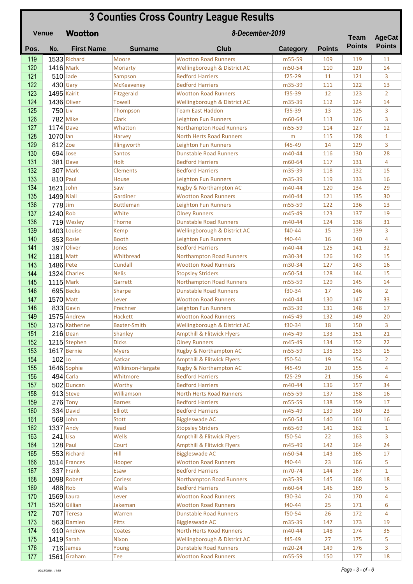### **Pos. No. First Name Surname Club Category Points Wootton 3 Counties Cross Country League Results Venue Team Points 8-December-2019 AgeCat AgeCat AgeCat Points** 119 1533 Richard Moore Wootton Road Runners 1995-59 109 119 119 120 1416 Mark Moriarty Wellingborough & District AC m50-54 110 120 14 121 510 Jade Sampson Bedford Harriers **f25-29** 11 121 3 122 430 Gary McKeaveney Bedford Harriers – m35-39 111 122 13 123 1495 Kairit Fitzgerald Wootton Road Runners 155-39 12 123 2 124 1436 Oliver Towell Wellingborough & District AC m35-39 112 124 14 125 750 Liv Thompson Team East Haddon 155-39 13 125 3 126 782 Mike Clark Leighton Fun Runners – m60-64 113 126 3 127 1174 Dave Mhatton Northampton Road Runners m55-59 114 127 12 128 1070 Ian Harvey North Herts Road Runners 1 m 115 128 1 129 812 Zoe Illingworth Leighton Fun Runners 145-49 14 129 3 130 694 Jose Santos Dunstable Road Runners – m40-44 116 130 28 **131** 381 Dave Holt Bedford Harriers 1660-64 117 131 4 132 307 Mark Clements Bedford Harriers 132 m35-39 118 132 15 133 810 Paul House Leighton Fun Runners 133 - 133 16 134 1621 John Saw Rugby & Northampton AC 134 120 134 29 135 1499 Niall **Gardiner** Nootton Road Runners **m40-44** 121 135 30 136 778 Jim Buttleman | Leighton Fun Runners | m55-59 122 136 13 137 1240 Rob White Olney Runners m45-49 123 137 19 138 719 Wesley Thorne Dunstable Road Runners – m40-44 124 138 31 139 1403 Louise Kemp Wellingborough & District AC 140-44 15 139 3 140 853 Rosie Booth Leighton Fun Runners 140-44 16 140 4 141 397 Oliver Jones Bedford Harriers – m40-44 125 141 32 142 1181 Matt Mitbread Northampton Road Runners 1830-34 126 126 142 15 143 1486 Pete Cundall Wootton Road Runners – m30-34 127 143 16 144 1324 Charles Nelis Stopsley Striders m50-54 128 144 15 145 1115 Mark Garrett Northampton Road Runners m55-59 129 145 14 146 695 Becks Sharpe Dunstable Road Runners 160-34 17 146 2 147 1570 Matt Lever Wootton Road Runners – m40-44 130 147 33 148 833 Gavin Prechner Leighton Fun Runners – m35-39 131 148 17 149 1575 Andrew Hackett Wootton Road Runners m45-49 132 149 20 150 1375 Katherine Baxter-Smith Wellingborough & District AC | f30-34 | 18 | 150 | 3 151 216 Dean Shanley Ampthill & Flitwick Flyers m45-49 133 151 21 152 1215 Stephen Dicks | Olney Runners | m45-49 | 134 | 152 | 22 153 1617 Bernie Myers Rugby & Northampton AC m55-59 135 153 15 154 102 Jo Aatkar Ampthill & Flitwick Flyers f50-54 19 154 2 155 1646 Sophie 10 | Wilkinson-Hargate Rugby & Northampton AC 145-49 | 20 | 155 | 4 156 494 Carla Whitmore Bedford Harriers f25-29 21 156 4 157 502 Duncan Worthy Bedford Harriers 167 m40-44 136 157 34 158 913 Steve Williamson North Herts Road Runners 168 5-59 137 158 16

| 154 | $102$ Jo     |               | Aatkar            | <b>Ampthill &amp; Flitwick Flyers</b> | f50-54   | 19  | 154 | 2              |
|-----|--------------|---------------|-------------------|---------------------------------------|----------|-----|-----|----------------|
| 155 |              | 1646 Sophie   | Wilkinson-Hargate | Rugby & Northampton AC                | f45-49   | 20  | 155 | 4              |
| 156 |              | $494$ Carla   | Whitmore          | <b>Bedford Harriers</b>               | $f25-29$ | 21  | 156 | 4              |
| 157 |              | $502$ Duncan  | Worthy            | <b>Bedford Harriers</b>               | m40-44   | 136 | 157 | 34             |
| 158 |              | $913$ Steve   | Williamson        | <b>North Herts Road Runners</b>       | m55-59   | 137 | 158 | 16             |
| 159 |              | $276$ Tony    | <b>Barnes</b>     | <b>Bedford Harriers</b>               | m55-59   | 138 | 159 | 17             |
| 160 |              | $334$ David   | <b>Elliott</b>    | <b>Bedford Harriers</b>               | m45-49   | 139 | 160 | 23             |
| 161 |              | $568$ John    | <b>Stott</b>      | <b>Biggleswade AC</b>                 | m50-54   | 140 | 161 | 16             |
| 162 | $1337$ Andy  |               | Read              | <b>Stopsley Striders</b>              | m65-69   | 141 | 162 | $\mathbf{1}$   |
| 163 | $241$ Lisa   |               | Wells             | <b>Ampthill &amp; Flitwick Flyers</b> | f50-54   | 22  | 163 | $\overline{3}$ |
| 164 | $128$ Paul   |               | Court             | <b>Ampthill &amp; Flitwick Flyers</b> | m45-49   | 142 | 164 | 24             |
| 165 |              | 553 Richard   | Hill              | Biggleswade AC                        | m50-54   | 143 | 165 | 17             |
| 166 |              | 1514 Frances  | Hooper            | <b>Wootton Road Runners</b>           | $f40-44$ | 23  | 166 | 5              |
| 167 |              | $337$ Frank   | Esaw              | <b>Bedford Harriers</b>               | m70-74   | 144 | 167 | $\mathbf{1}$   |
| 168 |              | 1098 Robert   | Corless           | <b>Northampton Road Runners</b>       | m35-39   | 145 | 168 | 18             |
| 169 | $488$ Rob    |               | Walls             | <b>Bedford Harriers</b>               | m60-64   | 146 | 169 | 5              |
| 170 | $1569$ Laura |               | Lever             | <b>Wootton Road Runners</b>           | f30-34   | 24  | 170 | 4              |
| 171 |              | 1520 Gillian  | Jakeman           | <b>Wootton Road Runners</b>           | f40-44   | 25  | 171 | 6              |
| 172 |              | 707 Teresa    | Warren            | <b>Dunstable Road Runners</b>         | f50-54   | 26  | 172 | 4              |
| 173 |              | 563 Damien    | <b>Pitts</b>      | Biggleswade AC                        | m35-39   | 147 | 173 | 19             |
| 174 |              | 910 Andrew    | Coates            | <b>North Herts Road Runners</b>       | m40-44   | 148 | 174 | 35             |
| 175 |              | $1419$ Sarah  | <b>Nixon</b>      | Wellingborough & District AC          | f45-49   | 27  | 175 | 5              |
| 176 |              | $716$ James   | Young             | <b>Dunstable Road Runners</b>         | m20-24   | 149 | 176 | 3              |
| 177 |              | $1561$ Graham | Tee               | <b>Wootton Road Runners</b>           | m55-59   | 150 | 177 | 18             |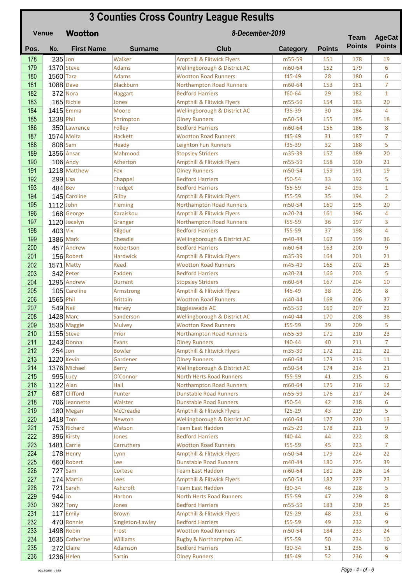## **3 Counties Cross Country League Results**

| <b>Venue</b> |                  | <b>Wootton</b>    | 8-December-2019      |                                                                   |                  |               | <b>Team</b>   | <b>AgeCat</b>     |
|--------------|------------------|-------------------|----------------------|-------------------------------------------------------------------|------------------|---------------|---------------|-------------------|
| Pos.         | No.              | <b>First Name</b> | <b>Surname</b>       | <b>Club</b>                                                       | <b>Category</b>  | <b>Points</b> | <b>Points</b> | <b>Points</b>     |
| 178          | $235$ Jon        |                   | Walker               | <b>Ampthill &amp; Flitwick Flyers</b>                             | m55-59           | 151           | 178           | 19                |
| 179          | $1370$ Steve     |                   | <b>Adams</b>         | Wellingborough & District AC                                      | m60-64           | 152           | 179           | 6                 |
| 180          | $1560$ Tara      |                   | <b>Adams</b>         | <b>Wootton Road Runners</b>                                       | f45-49           | 28            | 180           | 6                 |
| 181          | $1088$ Dave      |                   | <b>Blackburn</b>     | <b>Northampton Road Runners</b>                                   | m60-64           | 153           | 181           | $\overline{7}$    |
| 182          |                  | $372$ Nora        | <b>Haggart</b>       | <b>Bedford Harriers</b>                                           | f60-64           | 29            | 182           | $\mathbf{1}$      |
| 183          |                  | $165$ Richie      | Jones                | <b>Ampthill &amp; Flitwick Flyers</b>                             | m55-59           | 154           | 183           | 20                |
| 184          |                  | $1415$ Emma       | Moore                | Wellingborough & District AC                                      | f35-39           | 30            | 184           | 4                 |
| 185          | 1238 Phil        |                   | Shrimpton            | <b>Olney Runners</b>                                              | m50-54           | 155           | 185           | 18                |
| 186          |                  | 350 Lawrence      | <b>Folley</b>        | <b>Bedford Harriers</b>                                           | m60-64           | 156           | 186           | 8                 |
| 187          |                  | $1574$ Moira      | <b>Hackett</b>       | <b>Wootton Road Runners</b>                                       | f45-49           | 31            | 187           | $\overline{7}$    |
| 188          | $808$ Sam        |                   | <b>Heady</b>         | <b>Leighton Fun Runners</b>                                       | f35-39           | 32            | 188           | 5                 |
| 189          | $1356$ Ansar     |                   | Mahmood              | <b>Stopsley Striders</b>                                          | m35-39           | 157           | 189           | 20                |
| 190          |                  | $106$ Andy        | Atherton             | <b>Ampthill &amp; Flitwick Flyers</b>                             | m55-59           | 158           | 190           | 21                |
| 191          |                  | 1218 Matthew      | Fox                  | <b>Olney Runners</b><br><b>Bedford Harriers</b>                   | m50-54<br>f50-54 | 159           | 191           | 19                |
| 192          | 299<br>$484$ Bev | Lisa              | Chappel              | <b>Bedford Harriers</b>                                           | f55-59           | 33            | 192<br>193    | 5<br>$\mathbf{1}$ |
| 193          |                  | 145 Caroline      | <b>Tredget</b>       |                                                                   | f55-59           | 34<br>35      | 194           | $\overline{2}$    |
| 194          |                  |                   | Gilby                | <b>Ampthill &amp; Flitwick Flyers</b>                             | m50-54           | 160           | 195           | 20                |
| 195<br>196   | $1112$ John      | 168 George        | Fleming<br>Karaiskou | Northampton Road Runners<br><b>Ampthill &amp; Flitwick Flyers</b> | m20-24           | 161           | 196           | $\overline{4}$    |
| 197          |                  | 1120 Jocelyn      | Granger              | <b>Northampton Road Runners</b>                                   | f55-59           | 36            | 197           | 3                 |
| 198          | $403$ Viv        |                   | Kilgour              | <b>Bedford Harriers</b>                                           | f55-59           | 37            | 198           | $\overline{4}$    |
| 199          | $1386$ Mark      |                   | Cheadle              | Wellingborough & District AC                                      | m40-44           | 162           | 199           | 36                |
| 200          |                  | 457 Andrew        | Robertson            | <b>Bedford Harriers</b>                                           | m60-64           | 163           | 200           | 9                 |
| 201          |                  | 156 Robert        | <b>Hardwick</b>      | <b>Ampthill &amp; Flitwick Flyers</b>                             | m35-39           | 164           | 201           | 21                |
| 202          |                  | $1571$ Matty      | Reed                 | <b>Wootton Road Runners</b>                                       | m45-49           | 165           | 202           | 25                |
| 203          |                  | $342$ Peter       | Fadden               | <b>Bedford Harriers</b>                                           | m20-24           | 166           | 203           | 5                 |
| 204          |                  | 1295 Andrew       | Durrant              | <b>Stopsley Striders</b>                                          | m60-64           | 167           | 204           | 10                |
| 205          |                  | 105 Caroline      | Armstrong            | <b>Ampthill &amp; Flitwick Flyers</b>                             | f45-49           | 38            | 205           | 8                 |
| 206          | 1565 Phil        |                   | <b>Brittain</b>      | <b>Wootton Road Runners</b>                                       | m40-44           | 168           | 206           | 37                |
| 207          | $549$ Neil       |                   | <b>Harvey</b>        | <b>Biggleswade AC</b>                                             | m55-59           | 169           | 207           | 22                |
| 208          | $1428$ Marc      |                   | Sanderson            | Wellingborough & District AC                                      | m40-44           | 170           | 208           | 38                |
| 209          |                  | $1535$ Maggie     | <b>Mulvey</b>        | <b>Wootton Road Runners</b>                                       | f55-59           | 39            | 209           | 5                 |
| 210          | $1155$ Steve     |                   | Prior                | Northampton Road Runners                                          | m55-59           | 171           | 210           | 23                |
| 211          |                  | $1243$ Donna      | <b>Evans</b>         | <b>Olney Runners</b>                                              | f40-44           | 40            | 211           | $\overline{7}$    |
| 212          | $254$ Jon        |                   | <b>Bowler</b>        | <b>Ampthill &amp; Flitwick Flyers</b>                             | m35-39           | 172           | 212           | 22                |
| 213          | $1220$ Kevin     |                   | Gardener             | <b>Olney Runners</b>                                              | m60-64           | 173           | 213           | 11                |
| 214          |                  | 1376 Michael      | <b>Berry</b>         | Wellingborough & District AC                                      | m50-54           | 174           | 214           | 21                |
| 215          |                  | $995$ Lucy        | O'Connor             | <b>North Herts Road Runners</b>                                   | f55-59           | 41            | 215           | 6                 |
| 216          | $1122$ Alan      |                   | Hall                 | Northampton Road Runners                                          | m60-64           | 175           | 216           | 12                |
| 217          |                  | 687 Clifford      | Punter               | <b>Dunstable Road Runners</b>                                     | m55-59           | 176           | 217           | 24                |
| 218          |                  | 706 Jeannette     | Walster              | <b>Dunstable Road Runners</b>                                     | f50-54           | 42            | 218           | 6                 |
| 219          |                  | $180$ Megan       | <b>McCreadie</b>     | <b>Ampthill &amp; Flitwick Flyers</b>                             | $f25-29$         | 43            | 219           | 5                 |
| 220          | $1418$ Tom       |                   | Newton               | Wellingborough & District AC                                      | m60-64           | 177           | 220           | 13                |
| 221          |                  | 753 Richard       | Watson               | <b>Team East Haddon</b>                                           | m25-29           | 178           | 221           | 9                 |
| 222          |                  | 396 Kirsty        | Jones                | <b>Bedford Harriers</b>                                           | f40-44           | 44            | 222           | 8                 |
| 223          |                  | $1481$ Carrie     | Carruthers           | <b>Wootton Road Runners</b>                                       | f55-59           | 45            | 223           | 7                 |
| 224          |                  | $178$ Henry       | Lynn                 | <b>Ampthill &amp; Flitwick Flyers</b>                             | m50-54           | 179           | 224           | 22                |
| 225<br>226   | $727$ Sam        | $660$ Robert      | Lee<br>Cortese       | <b>Dunstable Road Runners</b><br><b>Team East Haddon</b>          | m40-44<br>m60-64 | 180<br>181    | 225<br>226    | 39<br>14          |
| 227          |                  | $174$ Martin      | Lees                 | <b>Ampthill &amp; Flitwick Flyers</b>                             | m50-54           | 182           | 227           | 23                |
| 228          | 721              | Sarah             | Ashcroft             | <b>Team East Haddon</b>                                           | f30-34           | 46            | 228           | 5                 |
| 229          | $944$ Jo         |                   | Harbon               | North Herts Road Runners                                          | f55-59           | 47            | 229           | 8                 |
| 230          |                  | $392$ Tony        | Jones                | <b>Bedford Harriers</b>                                           | m55-59           | 183           | 230           | 25                |
| 231          |                  | $117$ Emily       | <b>Brown</b>         | <b>Ampthill &amp; Flitwick Flyers</b>                             | f25-29           | 48            | 231           | 6                 |
| 232          |                  | 470 Ronnie        | Singleton-Lawley     | <b>Bedford Harriers</b>                                           | f55-59           | 49            | 232           | 9                 |
| 233          |                  | $1498$ Robin      | Frost                | <b>Wootton Road Runners</b>                                       | m50-54           | 184           | 233           | 24                |
| 234          |                  | 1635 Catherine    | <b>Williams</b>      | Rugby & Northampton AC                                            | f55-59           | 50            | 234           | 10                |
| 235          |                  | 272 Claire        | Adamson              | <b>Bedford Harriers</b>                                           | f30-34           | 51            | 235           | 6                 |
| 236          |                  | $1236$ Helen      | Sartin               | <b>Olney Runners</b>                                              | f45-49           | 52            | 236           | 9                 |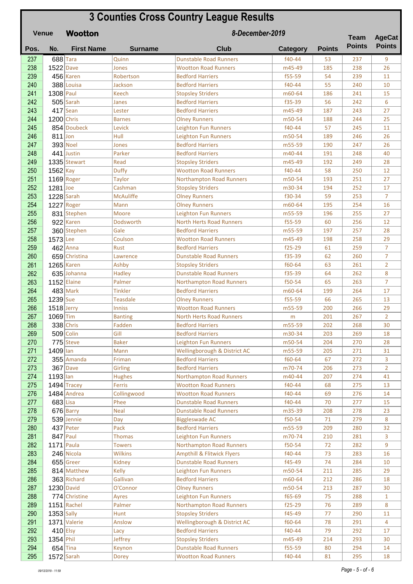### **Pos. No. First Name Surname Club Category Points Wootton 3 Counties Cross Country League Results Venue Team Points** *8-December-2019* Team AgeCat **Points** 237 688 Tara Quinn Dunstable Road Runners f40-44 53 237 9 238 1522 Dave Jones Wootton Road Runners – 1945-49 185 238 26  $239$  456 Karen Robertson Bedford Harriers 155-59 54 239 11  $240$  388 Louisa Jackson Bedford Harriers f40-44 55 240 10  $241$  1308 Paul Keech Stopsley Striders – m60-64 186 241 15 **242** 505 Sarah Janes Bedford Harriers **f35-39** 56 242 6 **243 417** Sean Lester Bedford Harriers – m45-49 187 243 27 244 1200 Chris Barnes Olney Runners m50-54 188 244 25 245 854 Doubeck Levick Leighton Fun Runners 140-44 57 245 11 246 811 Jon Hull Leighton Fun Runners 1950-54 189 246 26 247 393 Noel Jones Bedford Harriers 1955-59 190 247 26  $248$  441 Justin Parker Bedford Harriers 1980 m40-44 191 248 40 249 1335 Stewart Read Stopsley Striders – m45-49 192 249 28 250 1562 Kay Duffy Wootton Road Runners 140-44 58 250 12 251 1169 Roger Taylor Northampton Road Runners m50-54 193 251 27 252 1281 Joe Cashman Stopsley Striders m30-34 194 252 17 253 1228 Sarah McAuliffe Olney Runners 130-34 59 253 7 254 1227 Roger Mann Money Runners 16 Money Runners 16 Money Runners 16 Money Runners 16 Money Runners 16 Money 255 831 Stephen Moore Leighton Fun Runners 1955-59 196 255 27 256 922 Karen 10 Dodsworth North Herts Road Runners 155-59 60 256 12 257 360 Stephen | Gale | Bedford Harriers | m55-59 | 197 | 257 | 28 258 1573 Lee Coulson Wootton Road Runners – m45-49 198 258 29

**259 462** Anna Rust Bedford Harriers **f25-29 61 259 7** 260 659 Christina Lawrence Dunstable Road Runners f35-39 62 260 7 **261 1265** Karen Ashby Stopsley Striders f60-64 63 261 2 262 635 Johanna Hadley Dunstable Road Runners 155-39 64 262 8 263 1152 Elaine Palmer Northampton Road Runners f50-54 65 263 7 264 483 Mark Tinkler Bedford Harriers – m60-64 199 264 17  $265$  1239 Sue Teasdale  $\vert$  Olney Runners  $\vert$  f55-59  $\vert$  66  $\vert$  265  $\vert$  13 266 1518 Jerry Inniss Wootton Road Runners 1955-59 200 266 29 267 1069 Tim Banting North Herts Road Runners – m 201 267 2 268 338 Chris Fadden Bedford Harriers m55-59 202 268 30  $269$  509 Colin Gill Gill Bedford Harriers 18, 1830-34 203 269 18 270 775 Steve Baker Leighton Fun Runners – m50-54 204 270 28 271 1409 Ian Mann Wellingborough & District AC m55-59 205 271 31 272 355 Amanda Friman Bedford Harriers 160-64 67 272 3  $273$  367 Dave Girling Bedford Harriers 1970-74 206 273 2 274 1193 Ian Mughes Northampton Road Runners | m40-44 207 274 41 275 1494 Tracey Rerris Nootton Road Runners 140-44 68 275 13 276 1484 Andrea Collingwood Wootton Road Runners | f40-44 69 276 14 277 683 Lisa Phee Dunstable Road Runners 140-44 70 277 15 278 676 Barry Neal Neal Dunstable Road Runners 1985-39 208 278 23 279 539 Jennie Day Biggleswade AC f50-54 71 279 8  $280$  437 Peter Pack Bedford Harriers 1980 1955-59 209 280 32 **281 847 Paul Thomas** Leighton Fun Runners – m70-74 210 281 3 282 1171 Paula Towers Northampton Road Runners 150-54 72 282 9 **283 246** Nicola Milkins Ampthill & Flitwick Flyers f40-44 73 283 16 284 655 Greer Kidney | Dunstable Road Runners | f45-49 74 284 10 **285 814** Matthew Kelly Leighton Fun Runners 1950-54 211 285 29  $286$  363 Richard Gallivan Bedford Harriers 18 m60-64 212 286 18 **287 1230** David O'Connor Olney Runners Manuel M50-54 213 287 30 **288 774** Christine Ayres Leighton Fun Runners f65-69 75 288 1 289 1151 Rachel Palmer Northampton Road Runners 1995-29 76 289 8 **290 1353** Sally Hunt Stopsley Striders **f45-49** 77 290 11 291 1371 Valerie Anslow Wellingborough & District AC f60-64 78 291 4  $292$  410 Elsy Lacy Redford Harriers f40-44 79 292 17  $293$  1354 Phil Jeffrey Stopsley Striders – m45-49 214 293 30 294 654 Tina Keynon Dunstable Road Runners | f55-59 80 294 14 295 1572 Sarah Dorey Nootton Road Runners 140-44 81 295 18